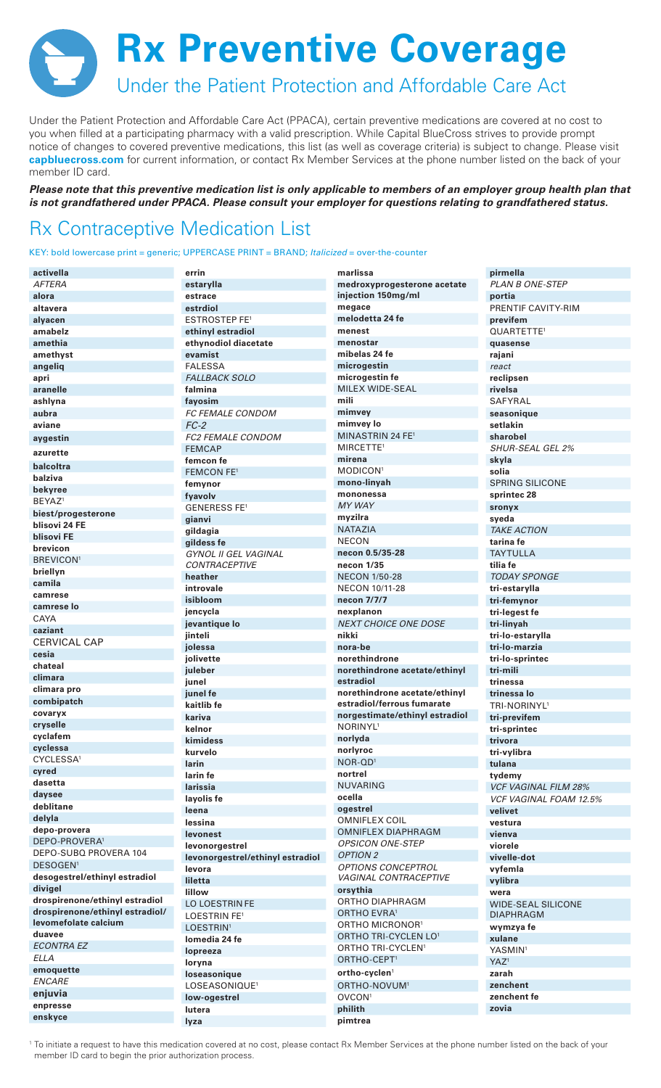**Rx Preventive Coverage** Under the Patient Protection and Affordable Care Act

Under the Patient Protection and Affordable Care Act (PPACA), certain preventive medications are covered at no cost to you when filled at a participating pharmacy with a valid prescription. While Capital BlueCross strives to provide prompt notice of changes to covered preventive medications, this list (as well as coverage criteria) is subject to change. Please visit capbluecross.com for current information, or contact Rx Member Services at the phone number listed on the back of your member ID card.

Please note that this preventive medication list is only applicable to members of an employer group health plan that is not grandfathered under PPACA. Please consult your employer for questions relating to grandfathered status.

## **Rx Contraceptive Medication List**

KEY: bold lowercase print = generic; UPPERCASE PRINT = BRAND; Italicized = over-the-counter

| activella                           | errin                            | marlissa                        | pirmella                      |  |
|-------------------------------------|----------------------------------|---------------------------------|-------------------------------|--|
| <b>AFTERA</b>                       | estarylla                        | medroxyprogesterone acetate     | <b>PLAN B ONE-STEP</b>        |  |
| alora                               | estrace                          | injection 150mg/ml              | portia                        |  |
| altavera                            | estrdiol                         | megace                          | PRENTIF CAVITY-RIM            |  |
| alyacen                             | <b>ESTROSTEP FE<sup>1</sup></b>  | melodetta 24 fe                 | previfem                      |  |
| amabelz                             | ethinyl estradiol                | menest                          | QUARTETTE <sup>1</sup>        |  |
| amethia                             | ethynodiol diacetate             | menostar                        | quasense                      |  |
| amethyst                            | evamist                          | mibelas 24 fe                   | rajani                        |  |
| angeliq                             | <b>FALESSA</b>                   | microgestin                     | react                         |  |
| apri                                | <b>FALLBACK SOLO</b>             | microgestin fe                  | reclipsen                     |  |
|                                     | falmina                          | MILEX WIDE-SEAL                 |                               |  |
| aranelle                            |                                  | mili                            | rivelsa                       |  |
| ashiyna                             | fayosim                          |                                 | SAFYRAL                       |  |
| aubra                               | <i>FC FEMALE CONDOM</i>          | mimvey                          | seasonique                    |  |
| aviane                              | $FC-2$                           | mimvey lo                       | setlakin                      |  |
| aygestin                            | FC2 FEMALE CONDOM                | MINASTRIN 24 FE <sup>1</sup>    | sharobel                      |  |
| azurette                            | <b>FEMCAP</b>                    | MIRCETTE <sup>1</sup>           | <b>SHUR-SEAL GEL 2%</b>       |  |
| balcoltra                           | femcon fe                        | mirena                          | skyla                         |  |
| balziva                             | <b>FEMCON FE1</b>                | MODICON <sup>1</sup>            | solia                         |  |
| bekyree                             | femynor                          | mono-linyah                     | <b>SPRING SILICONE</b>        |  |
| BEYAZ <sup>1</sup>                  | fyavolv                          | mononessa                       | sprintec 28                   |  |
|                                     | <b>GENERESS FE<sup>1</sup></b>   | <b>MY WAY</b>                   | sronyx                        |  |
| biest/progesterone<br>blisovi 24 FE | gianvi                           | myzilra                         | syeda                         |  |
| blisovi FE                          | gildagia                         | <b>NATAZIA</b>                  | <b>TAKE ACTION</b>            |  |
|                                     | gildess fe                       | <b>NECON</b>                    | tarina fe                     |  |
| brevicon                            | <b>GYNOL II GEL VAGINAL</b>      | necon 0.5/35-28                 | <b>TAYTULLA</b>               |  |
| <b>BREVICON<sup>1</sup></b>         | <b>CONTRACEPTIVE</b>             | necon 1/35                      | tilia fe                      |  |
| briellyn                            | heather                          | <b>NECON 1/50-28</b>            | <b>TODAY SPONGE</b>           |  |
| camila                              | introvale                        | NECON 10/11-28                  | tri-estarylla                 |  |
| camrese                             | isibloom                         | necon 7/7/7                     | tri-femynor                   |  |
| camrese lo                          | jencycla                         | nexplanon                       | tri-legest fe                 |  |
| CAYA                                | jevantique lo                    | <b>NEXT CHOICE ONE DOSE</b>     | tri-linyah                    |  |
| caziant                             | jinteli                          | nikki                           | tri-lo-estarylla              |  |
| <b>CERVICAL CAP</b>                 | jolessa                          | nora-be                         | tri-lo-marzia                 |  |
| cesia                               | jolivette                        | norethindrone                   | tri-lo-sprintec               |  |
| chateal                             | juleber                          | norethindrone acetate/ethinyl   | tri-mili                      |  |
| climara                             | junel                            | estradiol                       | trinessa                      |  |
| climara pro                         | junel fe                         | norethindrone acetate/ethinyl   | trinessa lo                   |  |
| combipatch                          | kaitlib fe                       | estradiol/ferrous fumarate      | TRI-NORINYL <sup>1</sup>      |  |
| covaryx                             |                                  | norgestimate/ethinyl estradiol  |                               |  |
| cryselle                            | kariva<br>kelnor                 | NORINYL <sup>1</sup>            | tri-previfem                  |  |
| cyclafem                            |                                  | norlyda                         | tri-sprintec                  |  |
| cyclessa                            | kimidess                         |                                 | trivora                       |  |
| CYCLESSA <sup>1</sup>               | kurvelo                          | norlyroc<br>NOR-QD <sup>1</sup> | tri-vylibra                   |  |
| cyred                               | larin                            |                                 | tulana                        |  |
| dasetta                             | larin fe                         | nortrel                         | tydemy                        |  |
| daysee                              | larissia                         | <b>NUVARING</b>                 | <b>VCF VAGINAL FILM 28%</b>   |  |
| deblitane                           | layolis fe                       | ocella                          | <b>VCF VAGINAL FOAM 12.5%</b> |  |
| delyla                              | leena                            | ogestrel                        | velivet                       |  |
| depo-provera                        | lessina                          | <b>OMNIFLEX COIL</b>            | vestura                       |  |
| DEPO-PROVERA <sup>1</sup>           | levonest                         | <b>OMNIFLEX DIAPHRAGM</b>       | vienva                        |  |
| DEPO-SUBQ PROVERA 104               | levonorgestrel                   | <b>OPSICON ONE-STEP</b>         | viorele                       |  |
|                                     | levonorgestrel/ethinyl estradiol | <b>OPTION 2</b>                 | vivelle-dot                   |  |
| DESOGEN <sup>1</sup>                | levora                           | OPTIONS CONCEPTROL              | vyfemla                       |  |
| desogestrel/ethinyl estradiol       | liletta                          | VAGINAL CONTRACEPTIVE           | vylibra                       |  |
| divigel                             | lillow                           | orsythia                        | wera                          |  |
| drospirenone/ethinyl estradiol      | LO LOESTRIN FE                   | ORTHO DIAPHRAGM                 | <b>WIDE-SEAL SILICONE</b>     |  |
| drospirenone/ethinyl estradiol/     | LOESTRIN FE <sup>1</sup>         | ORTHO EVRA <sup>1</sup>         | <b>DIAPHRAGM</b>              |  |
| levomefolate calcium                | LOESTRIN <sup>1</sup>            | ORTHO MICRONOR <sup>1</sup>     | wymzya fe                     |  |
| duavee                              | lomedia 24 fe                    | ORTHO TRI-CYCLEN LO1            | xulane                        |  |
| <b>ECONTRA EZ</b>                   | lopreeza                         | ORTHO TRI-CYCLEN <sup>1</sup>   | YASMIN <sup>1</sup>           |  |
| <b>ELLA</b>                         | loryna                           | ORTHO-CEPT <sup>1</sup>         | YAZ <sup>1</sup>              |  |
| emoquette                           | loseasonique                     | ortho-cyclen <sup>1</sup>       | zarah                         |  |
| <b>ENCARE</b>                       | LOSEASONIQUE <sup>1</sup>        | ORTHO-NOVUM <sup>1</sup>        | zenchent                      |  |
| enjuvia                             |                                  |                                 |                               |  |
|                                     | low-ogestrel                     | OVCON <sup>1</sup>              | zenchent fe                   |  |
| enpresse<br>enskyce                 | lutera                           | philith                         | zovia                         |  |

<sup>1</sup> To initiate a request to have this medication covered at no cost, please contact Rx Member Services at the phone number listed on the back of your member ID card to begin the prior authorization process.